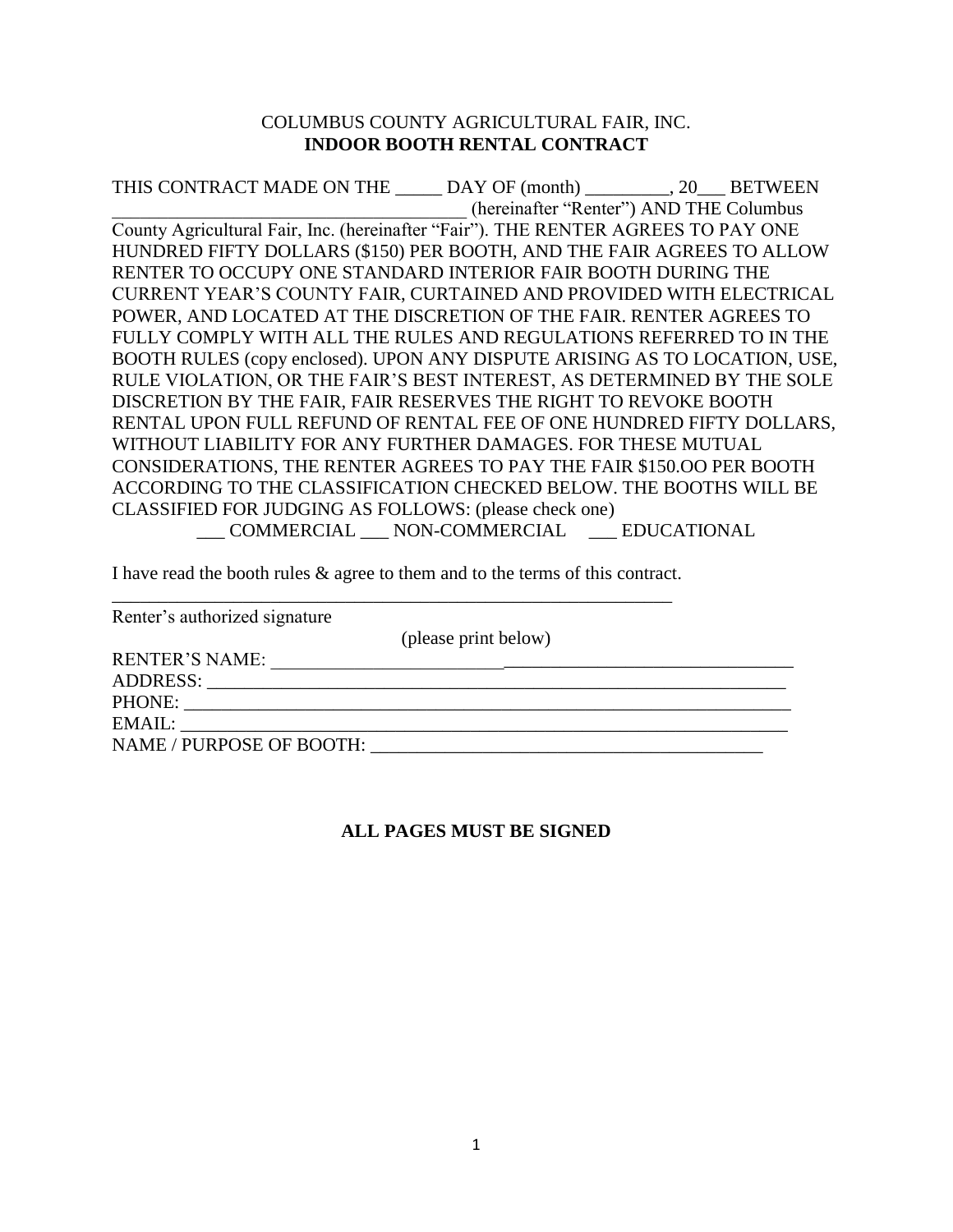## COLUMBUS COUNTY AGRICULTURAL FAIR, INC. **INDOOR BOOTH RENTAL CONTRACT**

THIS CONTRACT MADE ON THE \_\_\_\_\_ DAY OF (month) \_\_\_\_\_\_\_\_\_, 20\_\_\_ BETWEEN \_\_\_\_\_\_\_\_\_\_\_\_\_\_\_\_\_\_\_\_\_\_\_\_\_\_\_\_\_\_\_\_\_\_\_\_\_\_ (hereinafter "Renter") AND THE Columbus County Agricultural Fair, Inc. (hereinafter "Fair"). THE RENTER AGREES TO PAY ONE HUNDRED FIFTY DOLLARS (\$150) PER BOOTH, AND THE FAIR AGREES TO ALLOW RENTER TO OCCUPY ONE STANDARD INTERIOR FAIR BOOTH DURING THE CURRENT YEAR'S COUNTY FAIR, CURTAINED AND PROVIDED WITH ELECTRICAL POWER, AND LOCATED AT THE DISCRETION OF THE FAIR. RENTER AGREES TO FULLY COMPLY WITH ALL THE RULES AND REGULATIONS REFERRED TO IN THE BOOTH RULES (copy enclosed). UPON ANY DISPUTE ARISING AS TO LOCATION, USE, RULE VIOLATION, OR THE FAIR'S BEST INTEREST, AS DETERMINED BY THE SOLE DISCRETION BY THE FAIR, FAIR RESERVES THE RIGHT TO REVOKE BOOTH RENTAL UPON FULL REFUND OF RENTAL FEE OF ONE HUNDRED FIFTY DOLLARS, WITHOUT LIABILITY FOR ANY FURTHER DAMAGES. FOR THESE MUTUAL CONSIDERATIONS, THE RENTER AGREES TO PAY THE FAIR \$150.OO PER BOOTH ACCORDING TO THE CLASSIFICATION CHECKED BELOW. THE BOOTHS WILL BE CLASSIFIED FOR JUDGING AS FOLLOWS: (please check one) \_\_\_ COMMERCIAL \_\_\_ NON-COMMERCIAL \_\_\_ EDUCATIONAL

I have read the booth rules & agree to them and to the terms of this contract. \_\_\_\_\_\_\_\_\_\_\_\_\_\_\_\_\_\_\_\_\_\_\_\_\_\_\_\_\_\_\_\_\_\_\_\_\_\_\_\_\_\_\_\_\_\_\_\_\_\_\_\_\_\_\_\_\_\_\_\_

| Renter's authorized signature |                      |
|-------------------------------|----------------------|
|                               | (please print below) |
| <b>RENTER'S NAME:</b>         |                      |
|                               |                      |
| PHONE:                        |                      |
| EMAIL:                        |                      |
| NAME / PURPOSE OF BOOTH:      |                      |

## **ALL PAGES MUST BE SIGNED**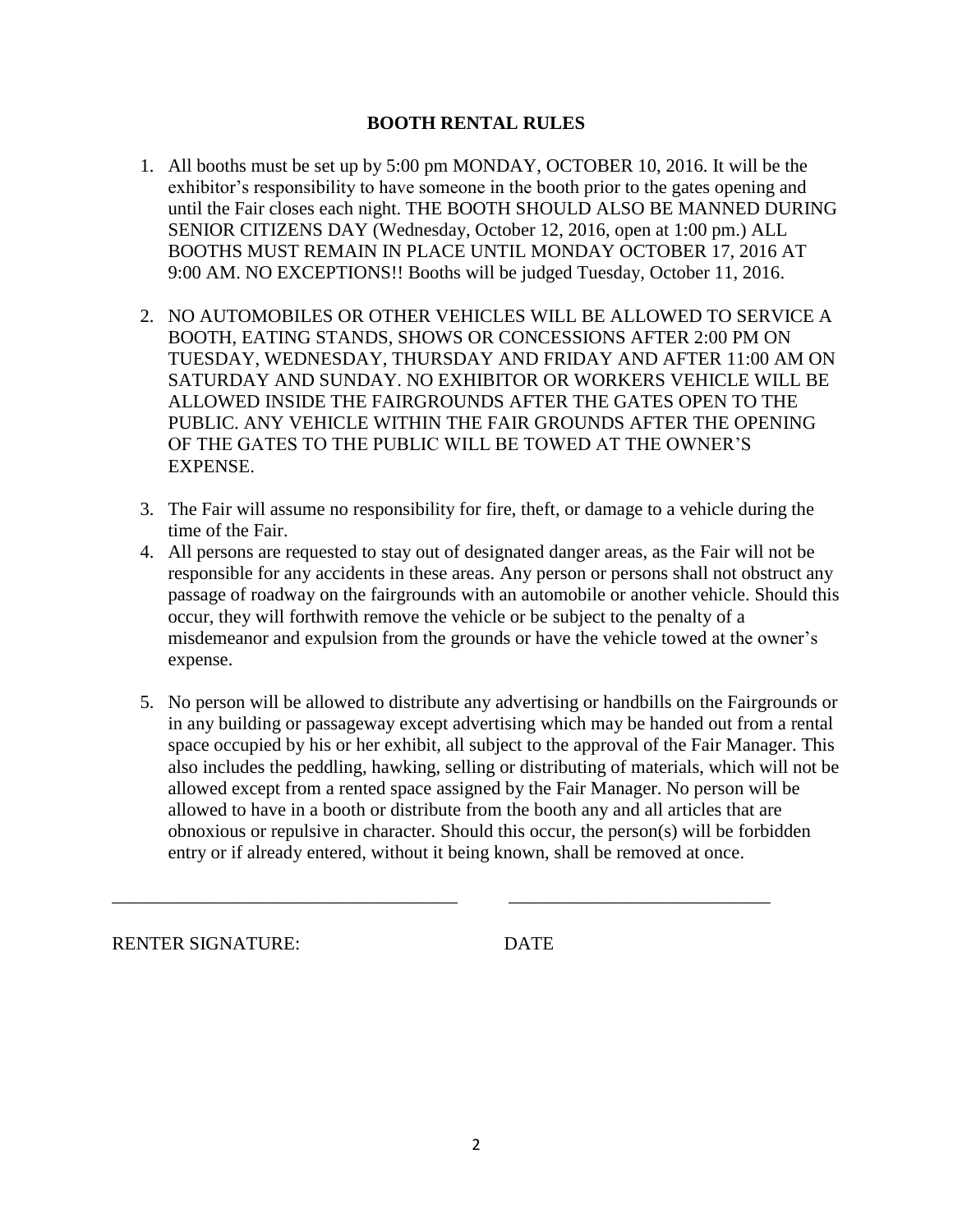## **BOOTH RENTAL RULES**

- 1. All booths must be set up by 5:00 pm MONDAY, OCTOBER 10, 2016. It will be the exhibitor's responsibility to have someone in the booth prior to the gates opening and until the Fair closes each night. THE BOOTH SHOULD ALSO BE MANNED DURING SENIOR CITIZENS DAY (Wednesday, October 12, 2016, open at 1:00 pm.) ALL BOOTHS MUST REMAIN IN PLACE UNTIL MONDAY OCTOBER 17, 2016 AT 9:00 AM. NO EXCEPTIONS!! Booths will be judged Tuesday, October 11, 2016.
- 2. NO AUTOMOBILES OR OTHER VEHICLES WILL BE ALLOWED TO SERVICE A BOOTH, EATING STANDS, SHOWS OR CONCESSIONS AFTER 2:00 PM ON TUESDAY, WEDNESDAY, THURSDAY AND FRIDAY AND AFTER 11:00 AM ON SATURDAY AND SUNDAY. NO EXHIBITOR OR WORKERS VEHICLE WILL BE ALLOWED INSIDE THE FAIRGROUNDS AFTER THE GATES OPEN TO THE PUBLIC. ANY VEHICLE WITHIN THE FAIR GROUNDS AFTER THE OPENING OF THE GATES TO THE PUBLIC WILL BE TOWED AT THE OWNER'S EXPENSE.
- 3. The Fair will assume no responsibility for fire, theft, or damage to a vehicle during the time of the Fair.
- 4. All persons are requested to stay out of designated danger areas, as the Fair will not be responsible for any accidents in these areas. Any person or persons shall not obstruct any passage of roadway on the fairgrounds with an automobile or another vehicle. Should this occur, they will forthwith remove the vehicle or be subject to the penalty of a misdemeanor and expulsion from the grounds or have the vehicle towed at the owner's expense.
- 5. No person will be allowed to distribute any advertising or handbills on the Fairgrounds or in any building or passageway except advertising which may be handed out from a rental space occupied by his or her exhibit, all subject to the approval of the Fair Manager. This also includes the peddling, hawking, selling or distributing of materials, which will not be allowed except from a rented space assigned by the Fair Manager. No person will be allowed to have in a booth or distribute from the booth any and all articles that are obnoxious or repulsive in character. Should this occur, the person(s) will be forbidden entry or if already entered, without it being known, shall be removed at once.

\_\_\_\_\_\_\_\_\_\_\_\_\_\_\_\_\_\_\_\_\_\_\_\_\_\_\_\_\_\_\_\_\_\_\_\_\_ \_\_\_\_\_\_\_\_\_\_\_\_\_\_\_\_\_\_\_\_\_\_\_\_\_\_\_\_

RENTER SIGNATURE: DATE